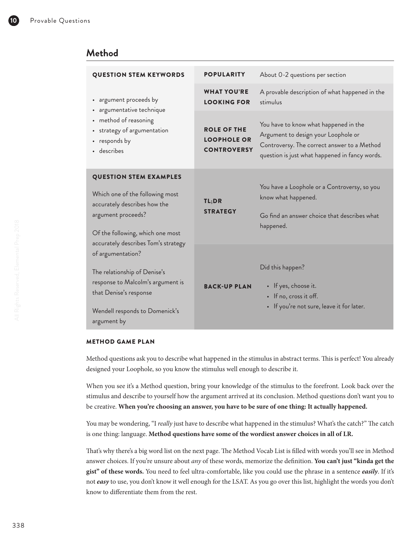## **Method**

| <b>QUESTION STEM KEYWORDS</b>                                                                                                                                                                     | <b>POPULARITY</b>                                              | About 0-2 questions per section                                                                                                                                               |
|---------------------------------------------------------------------------------------------------------------------------------------------------------------------------------------------------|----------------------------------------------------------------|-------------------------------------------------------------------------------------------------------------------------------------------------------------------------------|
| • argument proceeds by<br>· argumentative technique<br>• method of reasoning<br>• strategy of argumentation<br>• responds by<br>· describes                                                       | <b>WHAT YOU'RE</b><br><b>LOOKING FOR</b>                       | A provable description of what happened in the<br>stimulus                                                                                                                    |
|                                                                                                                                                                                                   | <b>ROLE OF THE</b><br><b>LOOPHOLE OR</b><br><b>CONTROVERSY</b> | You have to know what happened in the<br>Argument to design your Loophole or<br>Controversy. The correct answer to a Method<br>question is just what happened in fancy words. |
| <b>QUESTION STEM EXAMPLES</b><br>Which one of the following most<br>accurately describes how the<br>argument proceeds?<br>Of the following, which one most<br>accurately describes Tom's strategy | TL;DR<br><b>STRATEGY</b>                                       | You have a Loophole or a Controversy, so you<br>know what happened.<br>Go find an answer choice that describes what<br>happened.                                              |
| of argumentation?<br>The relationship of Denise's<br>response to Malcolm's argument is<br>that Denise's response<br>Wendell responds to Domenick's<br>argument by                                 | <b>BACK-UP PLAN</b>                                            | Did this happen?<br>• If yes, choose it.<br>• If no, cross it off.<br>• If you're not sure, leave it for later.                                                               |

### METHOD GAME PLAN

Method questions ask you to describe what happened in the stimulus in abstract terms. This is perfect! You already designed your Loophole, so you know the stimulus well enough to describe it.

When you see it's a Method question, bring your knowledge of the stimulus to the forefront. Look back over the stimulus and describe to yourself how the argument arrived at its conclusion. Method questions don't want you to be creative. **When you're choosing an answer, you have to be sure of one thing: It actually happened.**

You may be wondering, "I *really* just have to describe what happened in the stimulus? What's the catch?" The catch is one thing: language. **Method questions have some of the wordiest answer choices in all of LR.**

That's why there's a big word list on the next page. The Method Vocab List is filled with words you'll see in Method answer choices. If you're unsure about *any* of these words, memorize the definition. **You can't just "kinda get the gist" of these words.** You need to feel ultra-comfortable, like you could use the phrase in a sentence *easily*. If it's not *easy* to use, you don't know it well enough for the LSAT. As you go over this list, highlight the words you don't know to differentiate them from the rest.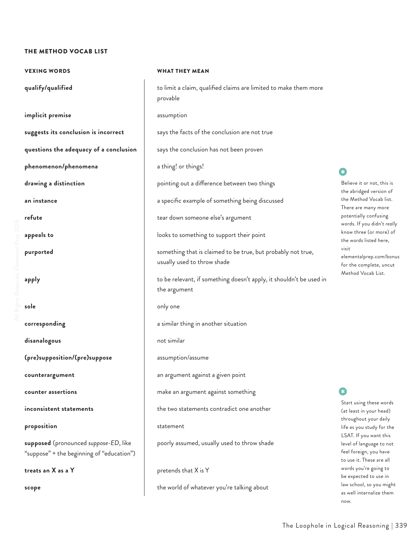#### THE METHOD VOCAB LIST

VEXING WORDS WHAT THEY MEAN **implicit premise** assumption **suggests its conclusion is incorrect** says the facts of the conclusion are not true **questions the adequacy of a conclusion** | says the conclusion has not been proven **phenomenon/phenomena a** a thing! or things! **drawing a distinction pointing out a difference between two things an instance a specific example of something being discussed a specific example of something being discussed refute** tear down someone else's argument **appeals to appeals to appeals to looks** to something to support their point **sole** only one only one **corresponding a corresponding a i a** similar thing in another situation **disanalogous** not similar **(pre)supposition/(pre)suppose** assumption/assume **counterargument** an argument against a given point **counter assertions counter assertions make an argument against something inconsistent statements** the two statements contradict one another **proposition** statement **supposed** (pronounced *suppose-ED*, like "suppose" + the beginning of "education") **treats an X as a Y pretends that X is Y** 

**qualify/qualified to limit a claim, qualified claims are limited to make them more** provable

**purported** something that is claimed to be true, but probably not true, usually used to throw shade

**apply b** to be relevant, if something doesn't apply, it shouldn't be used in the argument

poorly assumed, usually used to throw shade

**scope** the world of whatever you're talking about

## •

Believe it or not, this is the abridged version of the Method Vocab list. There are many more potentially confusing words. If you didn't *really* know three (or more) of the words listed here, visit elementalprep.com/bonus for the complete, uncut Method Vocab List.

•

Start using these words (at least in your head) throughout your daily life as you study for the LSAT. If you want this level of language to not feel foreign, you have to use it. These are all words you're going to be expected to use in law school, so you might as well internalize them now.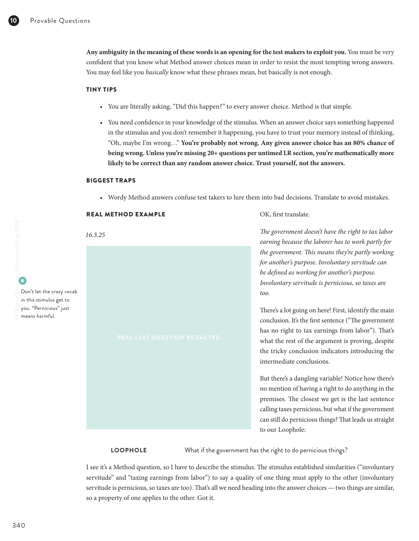**Any ambiguity in the meaning of these words is an opening for the test makers to exploit you.** You must be very confident that you know what Method answer choices mean in order to resist the most tempting wrong answers. You may feel like you *basically* know what these phrases mean, but basically is not enough.

#### TINY TIPS

- You are literally asking, "Did this happen?" to every answer choice. Method is that simple.
- You need confidence in your knowledge of the stimulus. When an answer choice says something happened in the stimulus and you don't remember it happening, you have to trust your memory instead of thinking, "Oh, maybe I'm wrong…" **You're probably not wrong. Any given answer choice has an 80% chance of being wrong. Unless you're missing 20+ questions per untimed LR section, you're mathematically more likely to be correct than any random answer choice. Trust yourself, not the answers.**

#### BIGGEST TRAPS

• Wordy Method answers confuse test takers to lure them into bad decisions. Translate to avoid mistakes.

| <b>REAL METHOD EXAMPLE</b>  | OK, first translate.                                                                                                                                                                                                                                                                                                                                                                                                                                                                                                                                                                                                                                                                                                                                                                                                                   |
|-----------------------------|----------------------------------------------------------------------------------------------------------------------------------------------------------------------------------------------------------------------------------------------------------------------------------------------------------------------------------------------------------------------------------------------------------------------------------------------------------------------------------------------------------------------------------------------------------------------------------------------------------------------------------------------------------------------------------------------------------------------------------------------------------------------------------------------------------------------------------------|
| 16.3.25                     | The government doesn't have the right to tax labor<br>earning because the laborer has to work partly for                                                                                                                                                                                                                                                                                                                                                                                                                                                                                                                                                                                                                                                                                                                               |
| REAL LSAT QUESTION REDACTED | the government. This means they're partly working<br>for another's purpose. Involuntary servitude can<br>be defined as working for another's purpose.<br>Involuntary servitude is pernicious, so taxes are<br>too.<br>There's a lot going on here! First, identify the main<br>conclusion. It's the first sentence ("The government<br>has no right to tax earnings from labor"). That's<br>what the rest of the argument is proving, despite<br>the tricky conclusion indicators introducing the<br>intermediate conclusions.<br>But there's a dangling variable! Notice how there's<br>no mention of having a right to do anything in the<br>premises. The closest we get is the last sentence<br>calling taxes pernicious, but what if the government<br>can still do pernicious things? That leads us straight<br>to our Loophole: |
|                             |                                                                                                                                                                                                                                                                                                                                                                                                                                                                                                                                                                                                                                                                                                                                                                                                                                        |

**LOOPHOLE** What if the government has the right to do pernicious things?

I see it's a Method question, so I have to describe the stimulus. The stimulus established similarities ("involuntary servitude" and "taxing earnings from labor") to say a quality of one thing must apply to the other (involuntary servitude is pernicious, so taxes are too). That's all we need heading into the answer choices — two things are similar, so a property of one applies to the other. Got it.